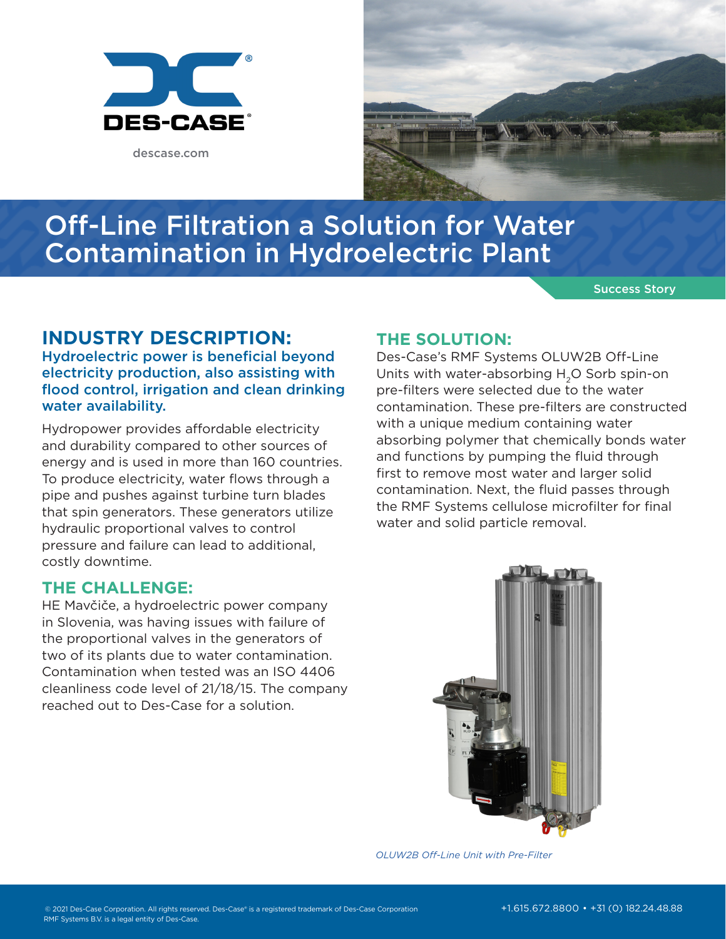

descase.com



# Off-Line Filtration a Solution for Water Contamination in Hydroelectric Plant

Success Story

## **INDUSTRY DESCRIPTION:**

Hydroelectric power is beneficial beyond electricity production, also assisting with flood control, irrigation and clean drinking water availability.

Hydropower provides affordable electricity and durability compared to other sources of energy and is used in more than 160 countries. To produce electricity, water flows through a pipe and pushes against turbine turn blades that spin generators. These generators utilize hydraulic proportional valves to control pressure and failure can lead to additional, costly downtime.

### **THE CHALLENGE:**

HE Mavčiče, a hydroelectric power company in Slovenia, was having issues with failure of the proportional valves in the generators of two of its plants due to water contamination. Contamination when tested was an ISO 4406 cleanliness code level of 21/18/15. The company reached out to Des-Case for a solution.

### **THE SOLUTION:**

Des-Case's RMF Systems OLUW2B Off-Line Units with water-absorbing H2O Sorb spin-on pre-filters were selected due to the water contamination. These pre-filters are constructed with a unique medium containing water absorbing polymer that chemically bonds water and functions by pumping the fluid through first to remove most water and larger solid contamination. Next, the fluid passes through the RMF Systems cellulose microfilter for final water and solid particle removal.



*OLUW2B Off-Line Unit with Pre-Filter*